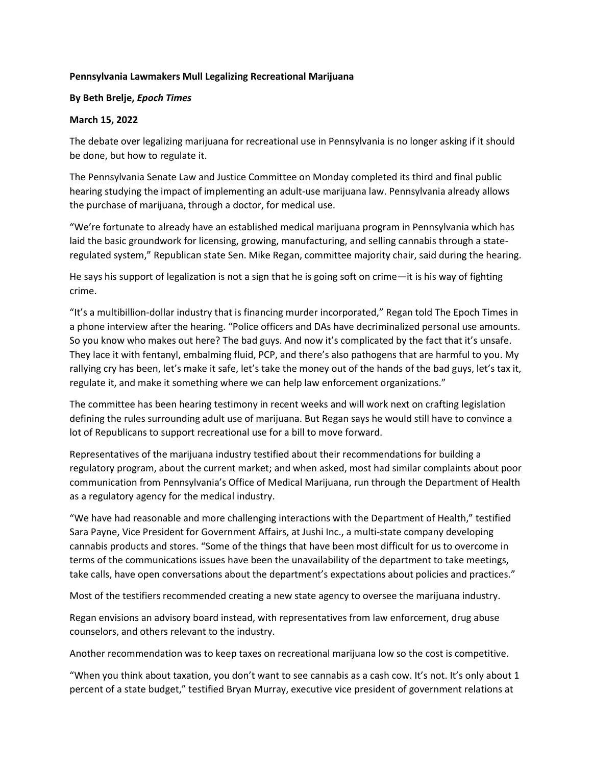## **Pennsylvania Lawmakers Mull Legalizing Recreational Marijuana**

## **By Beth Brelje,** *Epoch Times*

## **March 15, 2022**

The debate over legalizing marijuana for recreational use in Pennsylvania is no longer asking if it should be done, but how to regulate it.

The Pennsylvania Senate Law and Justice Committee on Monday completed its third and final public hearing studying the impact of implementing an adult-use marijuana law. Pennsylvania already allows the purchase of marijuana, through a doctor, for medical use.

"We're fortunate to already have an established medical marijuana program in Pennsylvania which has laid the basic groundwork for licensing, growing, manufacturing, and selling cannabis through a stateregulated system," Republican state Sen. Mike Regan, committee majority chair, said during the hearing.

He says his support of legalization is not a sign that he is going soft on crime—it is his way of fighting crime.

"It's a multibillion-dollar industry that is financing murder incorporated," Regan told The Epoch Times in a phone interview after the hearing. "Police officers and DAs have decriminalized personal use amounts. So you know who makes out here? The bad guys. And now it's complicated by the fact that it's unsafe. They lace it with fentanyl, embalming fluid, PCP, and there's also pathogens that are harmful to you. My rallying cry has been, let's make it safe, let's take the money out of the hands of the bad guys, let's tax it, regulate it, and make it something where we can help law enforcement organizations."

The committee has been hearing testimony in recent weeks and will work next on crafting legislation defining the rules surrounding adult use of marijuana. But Regan says he would still have to convince a lot of Republicans to support recreational use for a bill to move forward.

Representatives of the marijuana industry testified about their recommendations for building a regulatory program, about the current market; and when asked, most had similar complaints about poor communication from Pennsylvania's Office of Medical Marijuana, run through the Department of Health as a regulatory agency for the medical industry.

"We have had reasonable and more challenging interactions with the Department of Health," testified Sara Payne, Vice President for Government Affairs, at Jushi Inc., a multi-state company developing cannabis products and stores. "Some of the things that have been most difficult for us to overcome in terms of the communications issues have been the unavailability of the department to take meetings, take calls, have open conversations about the department's expectations about policies and practices."

Most of the testifiers recommended creating a new state agency to oversee the marijuana industry.

Regan envisions an advisory board instead, with representatives from law enforcement, drug abuse counselors, and others relevant to the industry.

Another recommendation was to keep taxes on recreational marijuana low so the cost is competitive.

"When you think about taxation, you don't want to see cannabis as a cash cow. It's not. It's only about 1 percent of a state budget," testified Bryan Murray, executive vice president of government relations at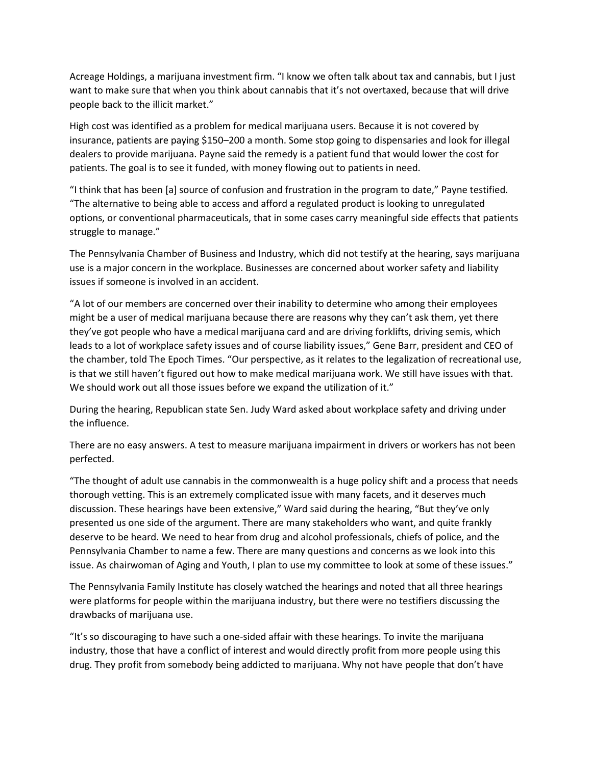Acreage Holdings, a marijuana investment firm. "I know we often talk about tax and cannabis, but I just want to make sure that when you think about cannabis that it's not overtaxed, because that will drive people back to the illicit market."

High cost was identified as a problem for medical marijuana users. Because it is not covered by insurance, patients are paying \$150–200 a month. Some stop going to dispensaries and look for illegal dealers to provide marijuana. Payne said the remedy is a patient fund that would lower the cost for patients. The goal is to see it funded, with money flowing out to patients in need.

"I think that has been [a] source of confusion and frustration in the program to date," Payne testified. "The alternative to being able to access and afford a regulated product is looking to unregulated options, or conventional pharmaceuticals, that in some cases carry meaningful side effects that patients struggle to manage."

The Pennsylvania Chamber of Business and Industry, which did not testify at the hearing, says marijuana use is a major concern in the workplace. Businesses are concerned about worker safety and liability issues if someone is involved in an accident.

"A lot of our members are concerned over their inability to determine who among their employees might be a user of medical marijuana because there are reasons why they can't ask them, yet there they've got people who have a medical marijuana card and are driving forklifts, driving semis, which leads to a lot of workplace safety issues and of course liability issues," Gene Barr, president and CEO of the chamber, told The Epoch Times. "Our perspective, as it relates to the legalization of recreational use, is that we still haven't figured out how to make medical marijuana work. We still have issues with that. We should work out all those issues before we expand the utilization of it."

During the hearing, Republican state Sen. Judy Ward asked about workplace safety and driving under the influence.

There are no easy answers. A test to measure marijuana impairment in drivers or workers has not been perfected.

"The thought of adult use cannabis in the commonwealth is a huge policy shift and a process that needs thorough vetting. This is an extremely complicated issue with many facets, and it deserves much discussion. These hearings have been extensive," Ward said during the hearing, "But they've only presented us one side of the argument. There are many stakeholders who want, and quite frankly deserve to be heard. We need to hear from drug and alcohol professionals, chiefs of police, and the Pennsylvania Chamber to name a few. There are many questions and concerns as we look into this issue. As chairwoman of Aging and Youth, I plan to use my committee to look at some of these issues."

The Pennsylvania Family Institute has closely watched the hearings and noted that all three hearings were platforms for people within the marijuana industry, but there were no testifiers discussing the drawbacks of marijuana use.

"It's so discouraging to have such a one-sided affair with these hearings. To invite the marijuana industry, those that have a conflict of interest and would directly profit from more people using this drug. They profit from somebody being addicted to marijuana. Why not have people that don't have